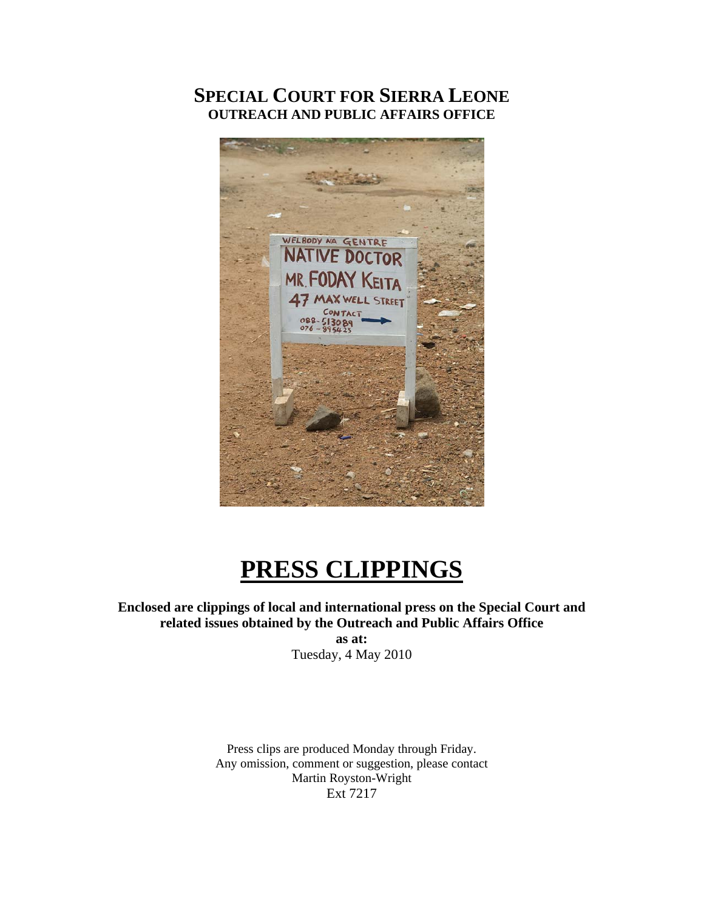# **SPECIAL COURT FOR SIERRA LEONE OUTREACH AND PUBLIC AFFAIRS OFFICE**



# **PRESS CLIPPINGS**

**Enclosed are clippings of local and international press on the Special Court and related issues obtained by the Outreach and Public Affairs Office as at:**  Tuesday, 4 May 2010

> Press clips are produced Monday through Friday. Any omission, comment or suggestion, please contact Martin Royston-Wright Ext 7217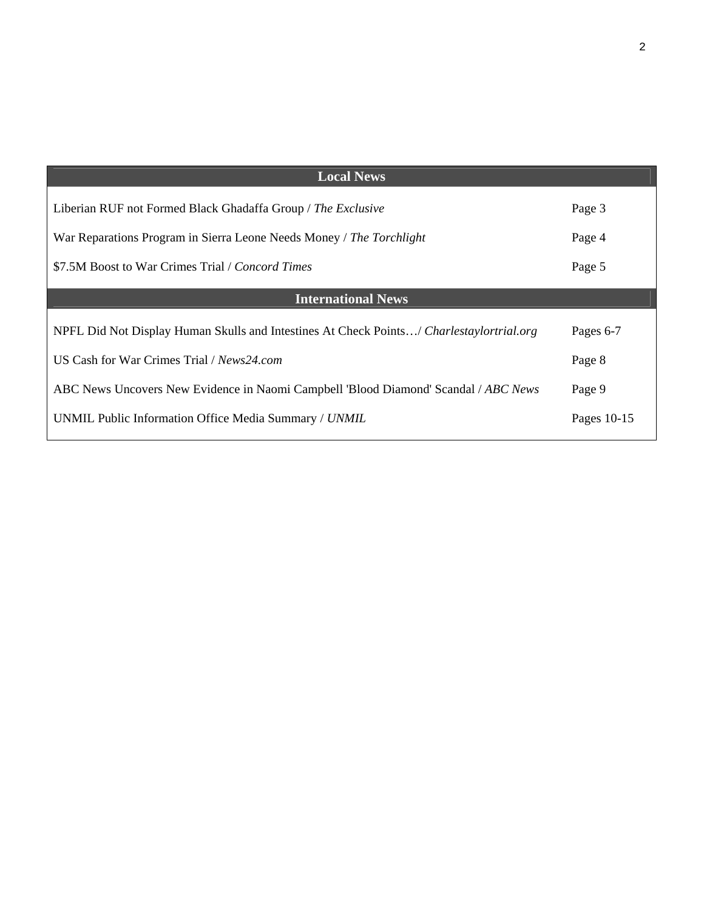| <b>Local News</b>                                                                        |             |
|------------------------------------------------------------------------------------------|-------------|
| Liberian RUF not Formed Black Ghadaffa Group / The Exclusive                             | Page 3      |
| War Reparations Program in Sierra Leone Needs Money / The Torchlight                     | Page 4      |
| \$7.5M Boost to War Crimes Trial / <i>Concord Times</i>                                  | Page 5      |
| <b>International News</b>                                                                |             |
| NPFL Did Not Display Human Skulls and Intestines At Check Points/ Charlestaylortrial.org | Pages 6-7   |
| US Cash for War Crimes Trial / News24.com                                                | Page 8      |
| ABC News Uncovers New Evidence in Naomi Campbell 'Blood Diamond' Scandal / ABC News      | Page 9      |
| UNMIL Public Information Office Media Summary / UNMIL                                    | Pages 10-15 |
|                                                                                          |             |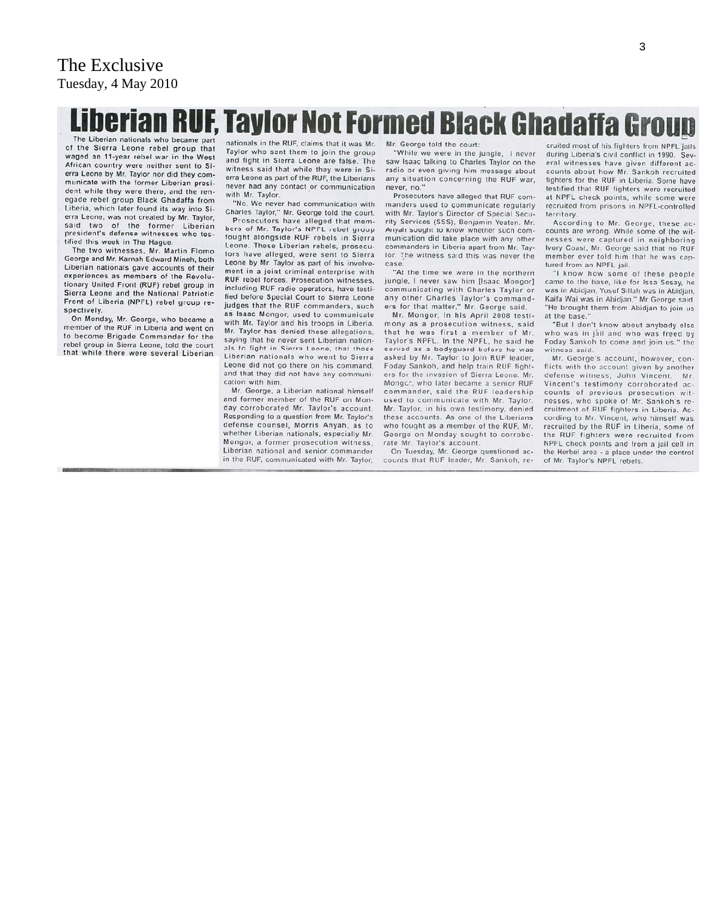# Liberian RUF, Taylor Not Formed Black Ghadaffa Group The Liberian nationals who became part

of the Sierra Leone rebel group that waged an 11-year rebel war in the West African country were neither sent to Si-<br>erra Leone by Mr. Taylor nor did they communicate with the former Liberian president while they were there, and the renegade rebel group Black Ghadaffa from Liberia, which later found its way into Sierra Leone, was not created by Mr. Taylor, two of the former Liberian said president's defense witnesses who testified this week in The Hague.

The two witnesses, Mr. Martin Flomo George and Mr. Karnah Edward Mineh, both Liberian nationals gave accounts of their experiences as members of the Revolutionary United Front (RUF) rebel group in Sierra Leone and the National Patriotic Front of Liberia (NPFL) rebel group respectively.

On Monday, Mr. George, who became a member of the RUF in Liberia and went on to become Brigade Commander for the rebel group in Sierra Leone, told the court that while there were several Liberian

nationals in the RUF, claims that it was Mr. Taylor who sent them to join the group and fight in Sierra Leone are false. The witness said that while they were in Sierra Leone as part of the RUF, the Liberians never had any contact or communication with Mr. Taylor.

"No. We never had communication with Charles Taylor," Mr. George told the court.

Prosecutors have alleged that members of Mr. Taylor's NPFL rebel group fought alongside RUF rebels in Sierra Leone. These Liberian rebels, prosecutors have alleged, were sent to Sierra Leone by Mr. Taylor as part of his involvement in a joint criminal enterprise with RUF rebel forces. Prosecution witnesses, including RUF radio operators, have testified before Special Court to Sierra Leone judges that the RUF commanders, such as Isaac Mongor, used to communicate with Mr. Taylor and his troops in Liberia. Mr. Taylor has denied these allegations, saying that he never sent Liberian nationals to fight in Sierra Leone, that those Liberian nationals who went to Sierra Leone did not go there on his command. and that they did not have any communication with him.

Mr. George, a Liberian national himself and former member of the RUF on Monday corroborated Mr. Taylor's account. Responding to a question from Mr. Taylor's defense counsel, Morris Anyah, as to whether Liberian nationals, especially Mr. Mongor, a former prosecution witness, Liberian national and senior commander in the RUF, communicated with Mr. Taylor

Mr. George told the court:

"While we were in the jungle, I never saw Isaac talking to Charles Taylor on the radio or even giving him message about any situation concerning the RUF war, never, no.'

Prosecutors have alleged that RUF commanders used to communicate regularly with Mr. Taylor's Director of Special Security Services (SSS), Benjamin Yeaten. Mr. Anyah sought to know whether such communication did take place with any other commanders in Liberia apart from Mr. Taylor. The witness said this was never the case

"At the time we were in the northern jungle, I never saw him [Isaac Mongor] communicating with Charles Taylor or any other Charles Taylor's commanders for that matter," Mr. George said.

Mr. Mongor, in his April 2008 testimony as a prosecution witness, said that he was first a member of Mr. Taylor's NPFL. In the NPFL, he said he served as a bodyguard before he was asked by Mr. Taylor to join RUF leader, Foday Sankoh, and help train RUF fighters for the invasion of Sierra Leone. Mr. Mongor, who later became a senior RUF commander, said the RUF leadership used to communicate with Mr. Taylor. Mr. Taylor, in his own testimony, denied these accounts. As one of the Liberians who fought as a member of the RUF, Mr. George on Monday sought to corroborate Mr. Taylor's account.

On Tuesday, Mr. George questioned accounts that RUF leader, Mr. Sankoh, re-

cruited most of his fighters from NPFL jails during Liberia's civil conflict in 1990. Several witnesses have given different accounts about how Mr. Sankoh recruited fighters for the RUF in Liberia. Some have testified that RUF fighters were recruited at NPFL check points, while some were recruited from prisons in NPFL-controlled territory.

According to Mr. George, these ac-<br>counts are wrong. While some of the witnesses were captured in neighboring Ivory Coast, Mr. George said that no RUF member ever told him that he was captured from an NPFL jail.

"I know how some of these people came to the base, like for Issa Sesay, he was in Abidjan, Yusuf Sillah was in Abidjan, Kaifa Wai was in Abidjan," Mr George said. 'He brought them from Abidian to join us at the base.

"But I don't know about anybody else who was in jail and who was freed by Foday Sankoh to come and join us," the witness said.

Mr. George's account, however, conflicts with the account given by another defense witness, John Vincent. Mr. Vincent's testimony corroborated accounts of previous prosecution witnesses, who spoke of Mr. Sankoh's recruitment of RUF fighters in Liberia. According to Mr. Vincent, who himself was recruited by the RUF in Liberia, some of the RUF fighters were recruited from NPFL check points and from a jail cell in the Herbel area - a place under the control of Mr. Taylor's NPFL rebels.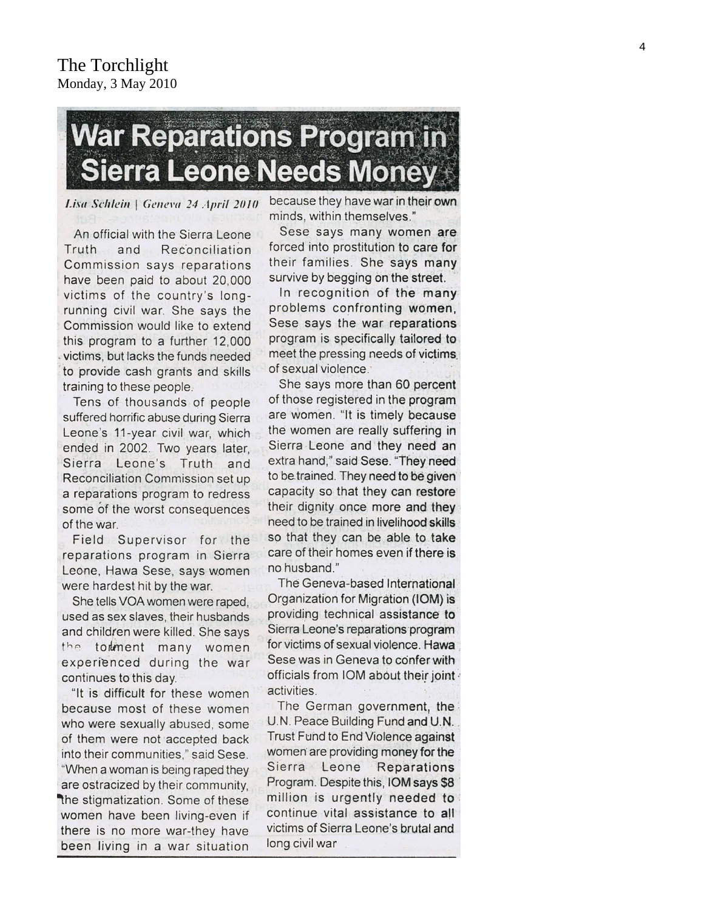# **War Reparations Program in Sierra Leone Needs Money**

Lisa Schlein | Geneva 24 April 2010

An official with the Sierra Leone Truth and Reconciliation Commission says reparations have been paid to about 20,000 victims of the country's longrunning civil war. She says the Commission would like to extend this program to a further 12,000 victims, but lacks the funds needed to provide cash grants and skills training to these people.

Tens of thousands of people suffered horrific abuse during Sierra Leone's 11-year civil war, which ended in 2002. Two years later, Sierra Leone's Truth and Reconciliation Commission set up a reparations program to redress some of the worst consequences of the war.

Field Supervisor for the reparations program in Sierra Leone, Hawa Sese, says women were hardest hit by the war.

She tells VOA women were raped, used as sex slaves, their husbands and children were killed. She says the tomment many women experienced during the war continues to this day.

"It is difficult for these women because most of these women who were sexually abused, some of them were not accepted back into their communities," said Sese. "When a woman is being raped they are ostracized by their community, the stigmatization. Some of these women have been living-even if there is no more war-they have been living in a war situation

because they have war in their own minds, within themselves."

Sese says many women are forced into prostitution to care for their families. She says many survive by begging on the street.

In recognition of the many problems confronting women, Sese says the war reparations program is specifically tailored to meet the pressing needs of victims. of sexual violence.

She says more than 60 percent of those registered in the program are women. "It is timely because the women are really suffering in Sierra Leone and they need an extra hand," said Sese. "They need to be trained. They need to be given capacity so that they can restore their dignity once more and they need to be trained in livelihood skills so that they can be able to take care of their homes even if there is no husband."

The Geneva-based International Organization for Migration (IOM) is providing technical assistance to Sierra Leone's reparations program for victims of sexual violence. Hawa Sese was in Geneva to confer with officials from IOM about their joint activities.

The German government, the U.N. Peace Building Fund and U.N. Trust Fund to End Violence against women are providing money for the Sierra Leone Reparations Program. Despite this, IOM says \$8 million is urgently needed to continue vital assistance to all victims of Sierra Leone's brutal and long civil war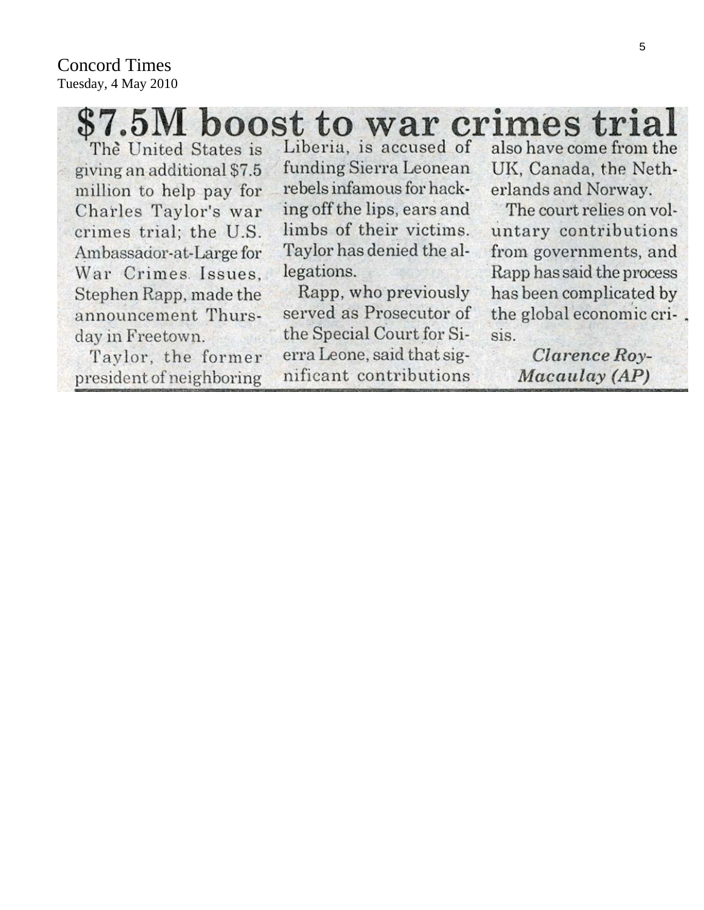# \$7.5M boost to war crimes trial

The United States is giving an additional \$7.5 million to help pay for Charles Taylor's war crimes trial; the U.S. Ambassador-at-Large for War Crimes Issues. Stephen Rapp, made the announcement Thursday in Freetown.

Taylor, the former president of neighboring

Liberia, is accused of funding Sierra Leonean rebels infamous for hacking off the lips, ears and limbs of their victims. Taylor has denied the allegations.

Rapp, who previously served as Prosecutor of the Special Court for Sierra Leone, said that significant contributions

also have come from the UK, Canada, the Netherlands and Norway.

The court relies on voluntary contributions from governments, and Rapp has said the process has been complicated by the global economic cri-. sis.

> Clarence Roy-Macaulay (AP)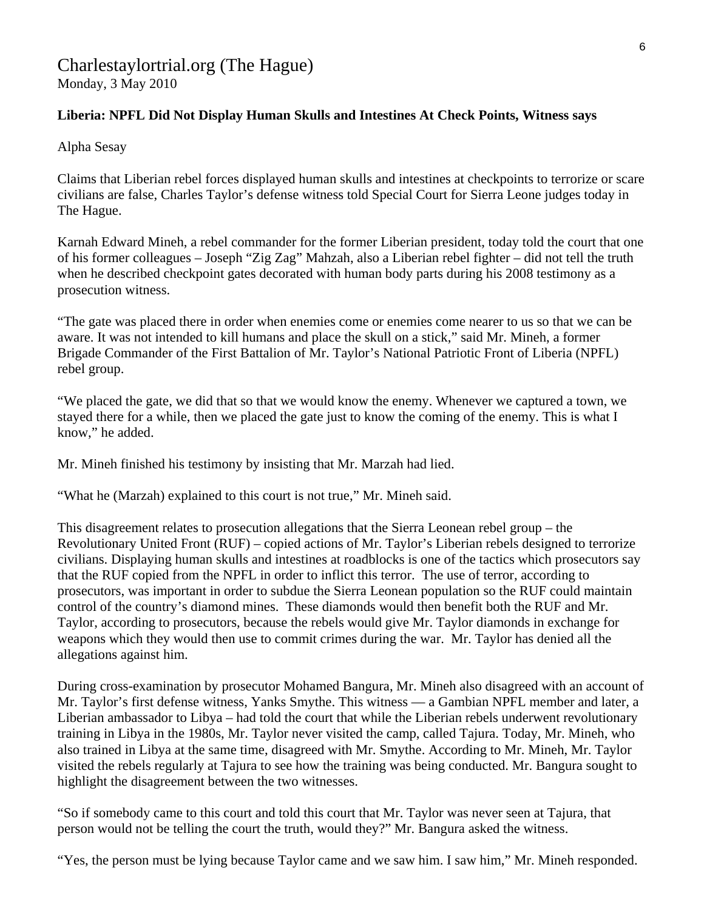# Charlestaylortrial.org (The Hague)

Monday, 3 May 2010

# **Liberia: NPFL Did Not Display Human Skulls and Intestines At Check Points, Witness says**

Alpha Sesay

Claims that Liberian rebel forces displayed human skulls and intestines at checkpoints to terrorize or scare civilians are false, Charles Taylor's defense witness told Special Court for Sierra Leone judges today in The Hague.

Karnah Edward Mineh, a rebel commander for the former Liberian president, today told the court that one of his former colleagues – Joseph "Zig Zag" Mahzah, also a Liberian rebel fighter – did not tell the truth when he described checkpoint gates decorated with human body parts during his 2008 testimony as a prosecution witness.

"The gate was placed there in order when enemies come or enemies come nearer to us so that we can be aware. It was not intended to kill humans and place the skull on a stick," said Mr. Mineh, a former Brigade Commander of the First Battalion of Mr. Taylor's National Patriotic Front of Liberia (NPFL) rebel group.

"We placed the gate, we did that so that we would know the enemy. Whenever we captured a town, we stayed there for a while, then we placed the gate just to know the coming of the enemy. This is what I know," he added.

Mr. Mineh finished his testimony by insisting that Mr. Marzah had lied.

"What he (Marzah) explained to this court is not true," Mr. Mineh said.

This disagreement relates to prosecution allegations that the Sierra Leonean rebel group – the Revolutionary United Front (RUF) – copied actions of Mr. Taylor's Liberian rebels designed to terrorize civilians. Displaying human skulls and intestines at roadblocks is one of the tactics which prosecutors say that the RUF copied from the NPFL in order to inflict this terror. The use of terror, according to prosecutors, was important in order to subdue the Sierra Leonean population so the RUF could maintain control of the country's diamond mines. These diamonds would then benefit both the RUF and Mr. Taylor, according to prosecutors, because the rebels would give Mr. Taylor diamonds in exchange for weapons which they would then use to commit crimes during the war. Mr. Taylor has denied all the allegations against him.

During cross-examination by prosecutor Mohamed Bangura, Mr. Mineh also disagreed with an account of Mr. Taylor's first defense witness, Yanks Smythe. This witness — a Gambian NPFL member and later, a Liberian ambassador to Libya – had told the court that while the Liberian rebels underwent revolutionary training in Libya in the 1980s, Mr. Taylor never visited the camp, called Tajura. Today, Mr. Mineh, who also trained in Libya at the same time, disagreed with Mr. Smythe. According to Mr. Mineh, Mr. Taylor visited the rebels regularly at Tajura to see how the training was being conducted. Mr. Bangura sought to highlight the disagreement between the two witnesses.

"So if somebody came to this court and told this court that Mr. Taylor was never seen at Tajura, that person would not be telling the court the truth, would they?" Mr. Bangura asked the witness.

"Yes, the person must be lying because Taylor came and we saw him. I saw him," Mr. Mineh responded.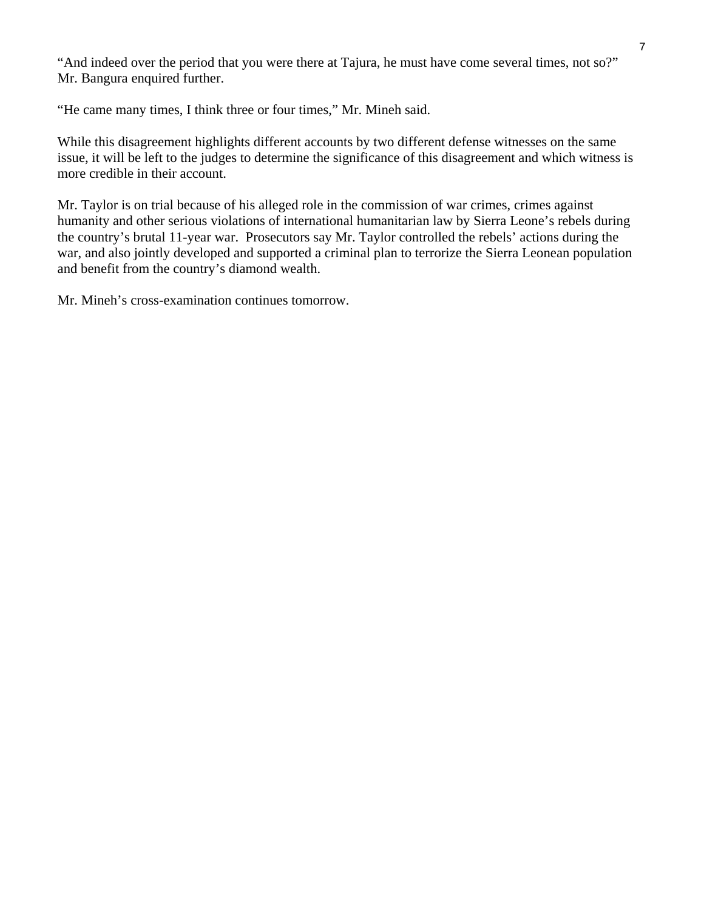"And indeed over the period that you were there at Tajura, he must have come several times, not so?" Mr. Bangura enquired further.

"He came many times, I think three or four times," Mr. Mineh said.

While this disagreement highlights different accounts by two different defense witnesses on the same issue, it will be left to the judges to determine the significance of this disagreement and which witness is more credible in their account.

Mr. Taylor is on trial because of his alleged role in the commission of war crimes, crimes against humanity and other serious violations of international humanitarian law by Sierra Leone's rebels during the country's brutal 11-year war. Prosecutors say Mr. Taylor controlled the rebels' actions during the war, and also jointly developed and supported a criminal plan to terrorize the Sierra Leonean population and benefit from the country's diamond wealth.

Mr. Mineh's cross-examination continues tomorrow.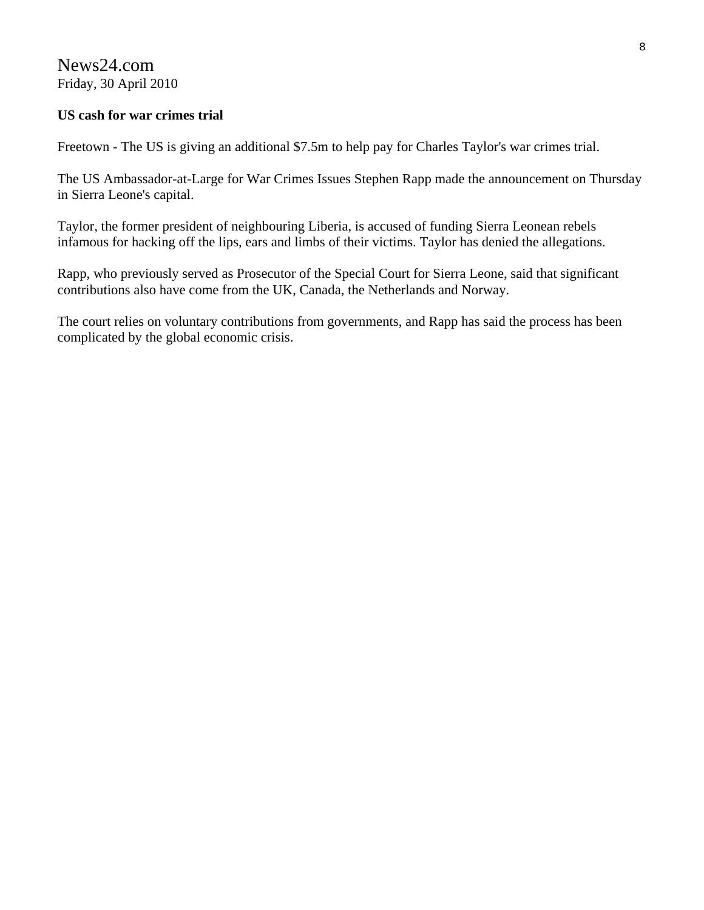News24.com Friday, 30 April 2010

## **US cash for war crimes trial**

Freetown - The US is giving an additional \$7.5m to help pay for Charles Taylor's war crimes trial.

The US Ambassador-at-Large for War Crimes Issues Stephen Rapp made the announcement on Thursday in Sierra Leone's capital.

Taylor, the former president of neighbouring Liberia, is accused of funding Sierra Leonean rebels infamous for hacking off the lips, ears and limbs of their victims. Taylor has denied the allegations.

Rapp, who previously served as Prosecutor of the Special Court for Sierra Leone, said that significant contributions also have come from the UK, Canada, the Netherlands and Norway.

The court relies on voluntary contributions from governments, and Rapp has said the process has been complicated by the global economic crisis.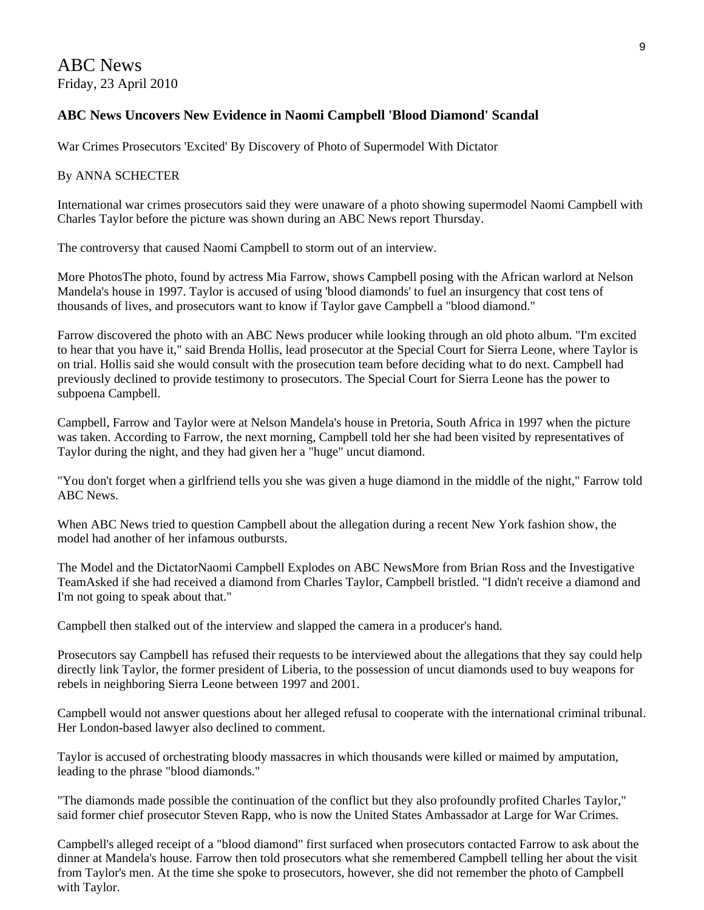# ABC News Friday, 23 April 2010

# **ABC News Uncovers New Evidence in Naomi Campbell 'Blood Diamond' Scandal**

War Crimes Prosecutors 'Excited' By Discovery of Photo of Supermodel With Dictator

#### By ANNA SCHECTER

International war crimes prosecutors said they were unaware of a photo showing supermodel Naomi Campbell with Charles Taylor before the picture was shown during an ABC News report Thursday.

The controversy that caused Naomi Campbell to storm out of an interview.

More PhotosThe photo, found by actress Mia Farrow, shows Campbell posing with the African warlord at Nelson Mandela's house in 1997. Taylor is accused of using 'blood diamonds' to fuel an insurgency that cost tens of thousands of lives, and prosecutors want to know if Taylor gave Campbell a "blood diamond."

Farrow discovered the photo with an ABC News producer while looking through an old photo album. "I'm excited to hear that you have it," said Brenda Hollis, lead prosecutor at the Special Court for Sierra Leone, where Taylor is on trial. Hollis said she would consult with the prosecution team before deciding what to do next. Campbell had previously declined to provide testimony to prosecutors. The Special Court for Sierra Leone has the power to subpoena Campbell.

Campbell, Farrow and Taylor were at Nelson Mandela's house in Pretoria, South Africa in 1997 when the picture was taken. According to Farrow, the next morning, Campbell told her she had been visited by representatives of Taylor during the night, and they had given her a "huge" uncut diamond.

"You don't forget when a girlfriend tells you she was given a huge diamond in the middle of the night," Farrow told ABC News.

When ABC News tried to question Campbell about the allegation during a recent New York fashion show, the model had another of her infamous outbursts.

The Model and the DictatorNaomi Campbell Explodes on ABC NewsMore from Brian Ross and the Investigative TeamAsked if she had received a diamond from Charles Taylor, Campbell bristled. "I didn't receive a diamond and I'm not going to speak about that."

Campbell then stalked out of the interview and slapped the camera in a producer's hand.

Prosecutors say Campbell has refused their requests to be interviewed about the allegations that they say could help directly link Taylor, the former president of Liberia, to the possession of uncut diamonds used to buy weapons for rebels in neighboring Sierra Leone between 1997 and 2001.

Campbell would not answer questions about her alleged refusal to cooperate with the international criminal tribunal. Her London-based lawyer also declined to comment.

Taylor is accused of orchestrating bloody massacres in which thousands were killed or maimed by amputation, leading to the phrase "blood diamonds."

"The diamonds made possible the continuation of the conflict but they also profoundly profited Charles Taylor," said former chief prosecutor Steven Rapp, who is now the United States Ambassador at Large for War Crimes.

Campbell's alleged receipt of a "blood diamond" first surfaced when prosecutors contacted Farrow to ask about the dinner at Mandela's house. Farrow then told prosecutors what she remembered Campbell telling her about the visit from Taylor's men. At the time she spoke to prosecutors, however, she did not remember the photo of Campbell with Taylor.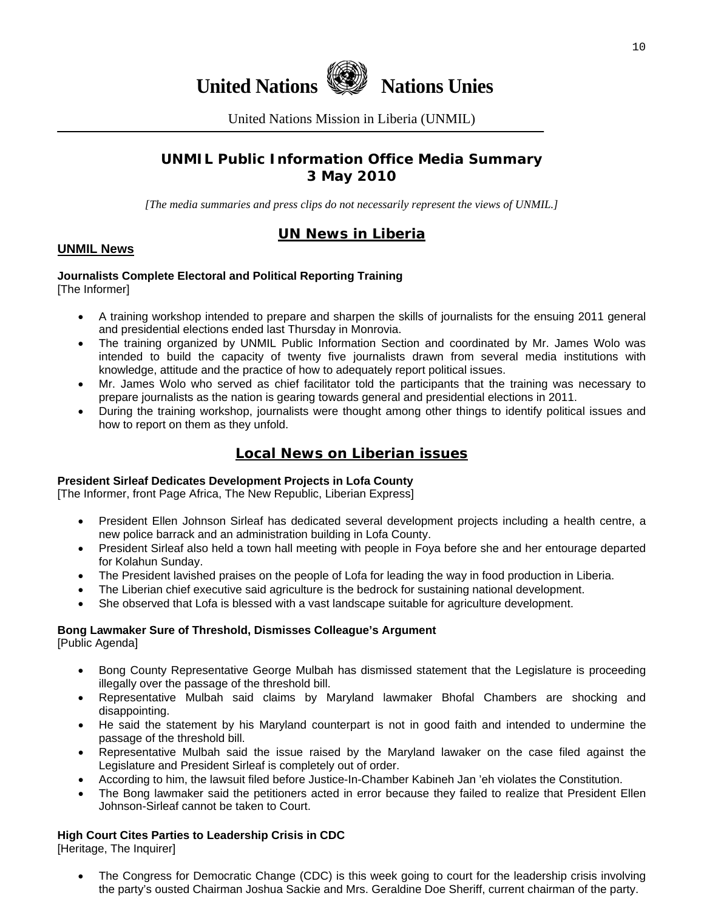



United Nations Mission in Liberia (UNMIL)

# **UNMIL Public Information Office Media Summary 3 May 2010**

*[The media summaries and press clips do not necessarily represent the views of UNMIL.]* 

# **UN News in Liberia**

### **UNMIL News**

#### **Journalists Complete Electoral and Political Reporting Training**  [The Informer]

- A training workshop intended to prepare and sharpen the skills of journalists for the ensuing 2011 general and presidential elections ended last Thursday in Monrovia.
- The training organized by UNMIL Public Information Section and coordinated by Mr. James Wolo was intended to build the capacity of twenty five journalists drawn from several media institutions with knowledge, attitude and the practice of how to adequately report political issues.
- Mr. James Wolo who served as chief facilitator told the participants that the training was necessary to prepare journalists as the nation is gearing towards general and presidential elections in 2011.
- During the training workshop, journalists were thought among other things to identify political issues and how to report on them as they unfold.

# **Local News on Liberian issues**

#### **President Sirleaf Dedicates Development Projects in Lofa County**

[The Informer, front Page Africa, The New Republic, Liberian Express]

- President Ellen Johnson Sirleaf has dedicated several development projects including a health centre, a new police barrack and an administration building in Lofa County.
- President Sirleaf also held a town hall meeting with people in Foya before she and her entourage departed for Kolahun Sunday.
- The President lavished praises on the people of Lofa for leading the way in food production in Liberia.
- The Liberian chief executive said agriculture is the bedrock for sustaining national development.
- She observed that Lofa is blessed with a vast landscape suitable for agriculture development.

# **Bong Lawmaker Sure of Threshold, Dismisses Colleague's Argument**

[Public Agenda]

- Bong County Representative George Mulbah has dismissed statement that the Legislature is proceeding illegally over the passage of the threshold bill.
- Representative Mulbah said claims by Maryland lawmaker Bhofal Chambers are shocking and disappointing.
- He said the statement by his Maryland counterpart is not in good faith and intended to undermine the passage of the threshold bill.
- Representative Mulbah said the issue raised by the Maryland lawaker on the case filed against the Legislature and President Sirleaf is completely out of order.
- According to him, the lawsuit filed before Justice-In-Chamber Kabineh Jan 'eh violates the Constitution.
- The Bong lawmaker said the petitioners acted in error because they failed to realize that President Ellen Johnson-Sirleaf cannot be taken to Court.

### **High Court Cites Parties to Leadership Crisis in CDC**

[Heritage, The Inquirer]

• The Congress for Democratic Change (CDC) is this week going to court for the leadership crisis involving the party's ousted Chairman Joshua Sackie and Mrs. Geraldine Doe Sheriff, current chairman of the party.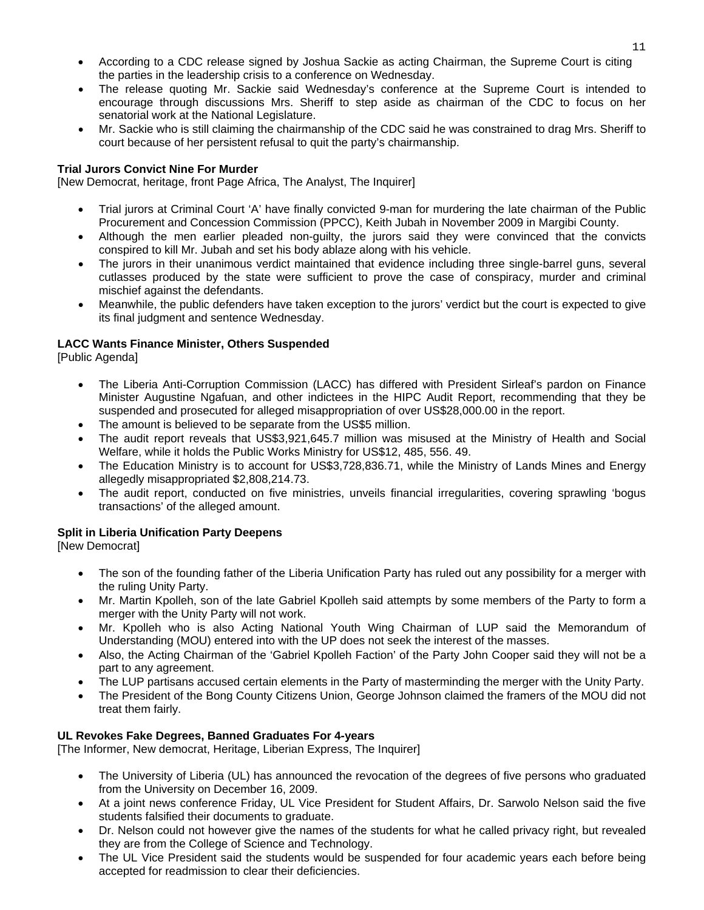- According to a CDC release signed by Joshua Sackie as acting Chairman, the Supreme Court is citing the parties in the leadership crisis to a conference on Wednesday.
- The release quoting Mr. Sackie said Wednesday's conference at the Supreme Court is intended to encourage through discussions Mrs. Sheriff to step aside as chairman of the CDC to focus on her senatorial work at the National Legislature.
- Mr. Sackie who is still claiming the chairmanship of the CDC said he was constrained to drag Mrs. Sheriff to court because of her persistent refusal to quit the party's chairmanship.

#### **Trial Jurors Convict Nine For Murder**

[New Democrat, heritage, front Page Africa, The Analyst, The Inquirer]

- Trial jurors at Criminal Court 'A' have finally convicted 9-man for murdering the late chairman of the Public Procurement and Concession Commission (PPCC), Keith Jubah in November 2009 in Margibi County.
- Although the men earlier pleaded non-guilty, the jurors said they were convinced that the convicts conspired to kill Mr. Jubah and set his body ablaze along with his vehicle.
- The jurors in their unanimous verdict maintained that evidence including three single-barrel guns, several cutlasses produced by the state were sufficient to prove the case of conspiracy, murder and criminal mischief against the defendants.
- Meanwhile, the public defenders have taken exception to the jurors' verdict but the court is expected to give its final judgment and sentence Wednesday.

#### **LACC Wants Finance Minister, Others Suspended**

[Public Agenda]

- The Liberia Anti-Corruption Commission (LACC) has differed with President Sirleaf's pardon on Finance Minister Augustine Ngafuan, and other indictees in the HIPC Audit Report, recommending that they be suspended and prosecuted for alleged misappropriation of over US\$28,000.00 in the report.
- The amount is believed to be separate from the US\$5 million.
- The audit report reveals that US\$3,921,645.7 million was misused at the Ministry of Health and Social Welfare, while it holds the Public Works Ministry for US\$12, 485, 556. 49.
- The Education Ministry is to account for US\$3,728,836.71, while the Ministry of Lands Mines and Energy allegedly misappropriated \$2,808,214.73.
- The audit report, conducted on five ministries, unveils financial irregularities, covering sprawling 'bogus transactions' of the alleged amount.

### **Split in Liberia Unification Party Deepens**

[New Democrat]

- The son of the founding father of the Liberia Unification Party has ruled out any possibility for a merger with the ruling Unity Party.
- Mr. Martin Kpolleh, son of the late Gabriel Kpolleh said attempts by some members of the Party to form a merger with the Unity Party will not work.
- Mr. Kpolleh who is also Acting National Youth Wing Chairman of LUP said the Memorandum of Understanding (MOU) entered into with the UP does not seek the interest of the masses.
- Also, the Acting Chairman of the 'Gabriel Kpolleh Faction' of the Party John Cooper said they will not be a part to any agreement.
- The LUP partisans accused certain elements in the Party of masterminding the merger with the Unity Party.
- The President of the Bong County Citizens Union, George Johnson claimed the framers of the MOU did not treat them fairly.

#### **UL Revokes Fake Degrees, Banned Graduates For 4-years**

[The Informer, New democrat, Heritage, Liberian Express, The Inquirer]

- The University of Liberia (UL) has announced the revocation of the degrees of five persons who graduated from the University on December 16, 2009.
- At a joint news conference Friday, UL Vice President for Student Affairs, Dr. Sarwolo Nelson said the five students falsified their documents to graduate.
- Dr. Nelson could not however give the names of the students for what he called privacy right, but revealed they are from the College of Science and Technology.
- The UL Vice President said the students would be suspended for four academic years each before being accepted for readmission to clear their deficiencies.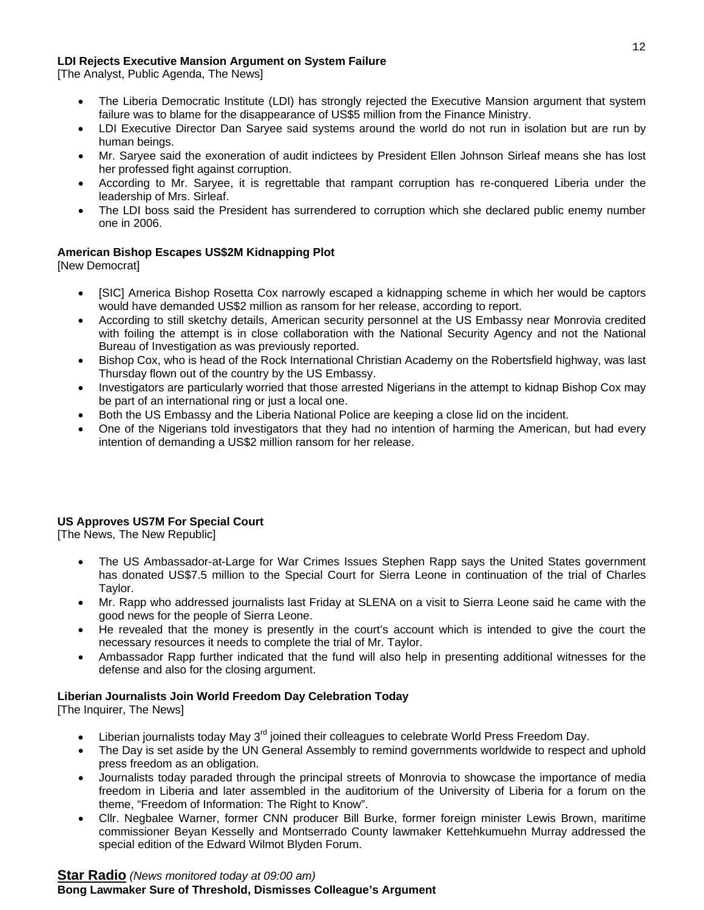#### **LDI Rejects Executive Mansion Argument on System Failure**

[The Analyst, Public Agenda, The News]

- The Liberia Democratic Institute (LDI) has strongly rejected the Executive Mansion argument that system failure was to blame for the disappearance of US\$5 million from the Finance Ministry.
- LDI Executive Director Dan Saryee said systems around the world do not run in isolation but are run by human beings.
- Mr. Saryee said the exoneration of audit indictees by President Ellen Johnson Sirleaf means she has lost her professed fight against corruption.
- According to Mr. Saryee, it is regrettable that rampant corruption has re-conquered Liberia under the leadership of Mrs. Sirleaf.
- The LDI boss said the President has surrendered to corruption which she declared public enemy number one in 2006.

#### **American Bishop Escapes US\$2M Kidnapping Plot**

[New Democrat]

- [SIC] America Bishop Rosetta Cox narrowly escaped a kidnapping scheme in which her would be captors would have demanded US\$2 million as ransom for her release, according to report.
- According to still sketchy details, American security personnel at the US Embassy near Monrovia credited with foiling the attempt is in close collaboration with the National Security Agency and not the National Bureau of Investigation as was previously reported.
- Bishop Cox, who is head of the Rock International Christian Academy on the Robertsfield highway, was last Thursday flown out of the country by the US Embassy.
- Investigators are particularly worried that those arrested Nigerians in the attempt to kidnap Bishop Cox may be part of an international ring or just a local one.
- Both the US Embassy and the Liberia National Police are keeping a close lid on the incident.
- One of the Nigerians told investigators that they had no intention of harming the American, but had every intention of demanding a US\$2 million ransom for her release.

#### **US Approves US7M For Special Court**

[The News, The New Republic]

- The US Ambassador-at-Large for War Crimes Issues Stephen Rapp says the United States government has donated US\$7.5 million to the Special Court for Sierra Leone in continuation of the trial of Charles Taylor.
- Mr. Rapp who addressed journalists last Friday at SLENA on a visit to Sierra Leone said he came with the good news for the people of Sierra Leone.
- He revealed that the money is presently in the court's account which is intended to give the court the necessary resources it needs to complete the trial of Mr. Taylor.
- Ambassador Rapp further indicated that the fund will also help in presenting additional witnesses for the defense and also for the closing argument.

#### **Liberian Journalists Join World Freedom Day Celebration Today**

[The Inquirer, The News]

- Liberian journalists today May 3<sup>rd</sup> joined their colleagues to celebrate World Press Freedom Day.
- The Day is set aside by the UN General Assembly to remind governments worldwide to respect and uphold press freedom as an obligation.
- Journalists today paraded through the principal streets of Monrovia to showcase the importance of media freedom in Liberia and later assembled in the auditorium of the University of Liberia for a forum on the theme, "Freedom of Information: The Right to Know".
- Cllr. Negbalee Warner, former CNN producer Bill Burke, former foreign minister Lewis Brown, maritime commissioner Beyan Kesselly and Montserrado County lawmaker Kettehkumuehn Murray addressed the special edition of the Edward Wilmot Blyden Forum.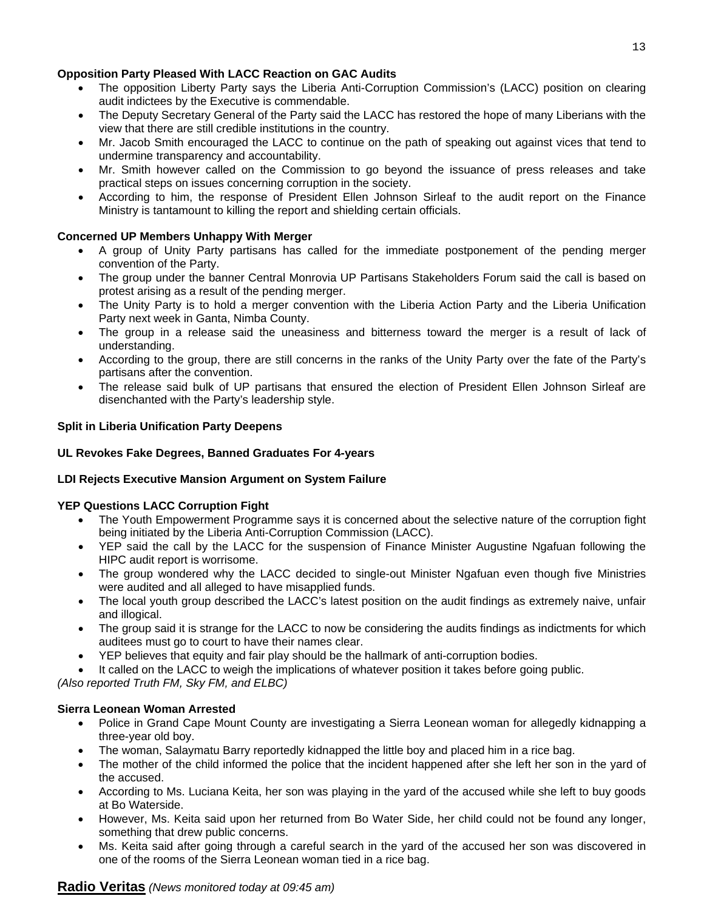#### **Opposition Party Pleased With LACC Reaction on GAC Audits**

- The opposition Liberty Party says the Liberia Anti-Corruption Commission's (LACC) position on clearing audit indictees by the Executive is commendable.
- The Deputy Secretary General of the Party said the LACC has restored the hope of many Liberians with the view that there are still credible institutions in the country.
- Mr. Jacob Smith encouraged the LACC to continue on the path of speaking out against vices that tend to undermine transparency and accountability.
- Mr. Smith however called on the Commission to go beyond the issuance of press releases and take practical steps on issues concerning corruption in the society.
- According to him, the response of President Ellen Johnson Sirleaf to the audit report on the Finance Ministry is tantamount to killing the report and shielding certain officials.

#### **Concerned UP Members Unhappy With Merger**

- A group of Unity Party partisans has called for the immediate postponement of the pending merger convention of the Party.
- The group under the banner Central Monrovia UP Partisans Stakeholders Forum said the call is based on protest arising as a result of the pending merger.
- The Unity Party is to hold a merger convention with the Liberia Action Party and the Liberia Unification Party next week in Ganta, Nimba County.
- The group in a release said the uneasiness and bitterness toward the merger is a result of lack of understanding.
- According to the group, there are still concerns in the ranks of the Unity Party over the fate of the Party's partisans after the convention.
- The release said bulk of UP partisans that ensured the election of President Ellen Johnson Sirleaf are disenchanted with the Party's leadership style.

#### **Split in Liberia Unification Party Deepens**

#### **UL Revokes Fake Degrees, Banned Graduates For 4-years**

#### **LDI Rejects Executive Mansion Argument on System Failure**

#### **YEP Questions LACC Corruption Fight**

- The Youth Empowerment Programme says it is concerned about the selective nature of the corruption fight being initiated by the Liberia Anti-Corruption Commission (LACC).
- YEP said the call by the LACC for the suspension of Finance Minister Augustine Ngafuan following the HIPC audit report is worrisome.
- The group wondered why the LACC decided to single-out Minister Ngafuan even though five Ministries were audited and all alleged to have misapplied funds.
- The local youth group described the LACC's latest position on the audit findings as extremely naive, unfair and illogical.
- The group said it is strange for the LACC to now be considering the audits findings as indictments for which auditees must go to court to have their names clear.
- YEP believes that equity and fair play should be the hallmark of anti-corruption bodies.
- It called on the LACC to weigh the implications of whatever position it takes before going public.

*(Also reported Truth FM, Sky FM, and ELBC)*

#### **Sierra Leonean Woman Arrested**

- Police in Grand Cape Mount County are investigating a Sierra Leonean woman for allegedly kidnapping a three-year old boy.
- The woman, Salaymatu Barry reportedly kidnapped the little boy and placed him in a rice bag.
- The mother of the child informed the police that the incident happened after she left her son in the yard of the accused.
- According to Ms. Luciana Keita, her son was playing in the yard of the accused while she left to buy goods at Bo Waterside.
- However, Ms. Keita said upon her returned from Bo Water Side, her child could not be found any longer, something that drew public concerns.
- Ms. Keita said after going through a careful search in the yard of the accused her son was discovered in one of the rooms of the Sierra Leonean woman tied in a rice bag.

#### **Radio Veritas** *(News monitored today at 09:45 am)*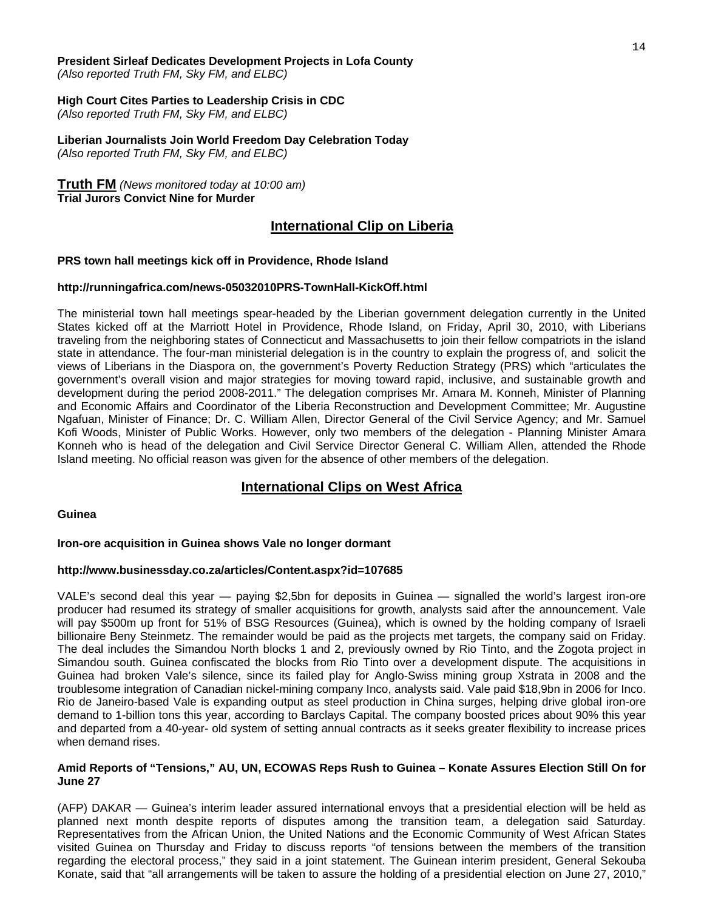# **President Sirleaf Dedicates Development Projects in Lofa County**

*(Also reported Truth FM, Sky FM, and ELBC)*

#### **High Court Cites Parties to Leadership Crisis in CDC**

*(Also reported Truth FM, Sky FM, and ELBC)*

**Liberian Journalists Join World Freedom Day Celebration Today**  *(Also reported Truth FM, Sky FM, and ELBC)*

#### **Truth FM** *(News monitored today at 10:00 am)*

**Trial Jurors Convict Nine for Murder** 

## **International Clip on Liberia**

#### **PRS town hall meetings kick off in Providence, Rhode Island**

#### **http://runningafrica.com/news-05032010PRS-TownHall-KickOff.html**

The ministerial town hall meetings spear-headed by the Liberian government delegation currently in the United States kicked off at the Marriott Hotel in Providence, Rhode Island, on Friday, April 30, 2010, with Liberians traveling from the neighboring states of Connecticut and Massachusetts to join their fellow compatriots in the island state in attendance. The four-man ministerial delegation is in the country to explain the progress of, and solicit the views of Liberians in the Diaspora on, the government's Poverty Reduction Strategy (PRS) which "articulates the government's overall vision and major strategies for moving toward rapid, inclusive, and sustainable growth and development during the period 2008-2011." The delegation comprises Mr. Amara M. Konneh, Minister of Planning and Economic Affairs and Coordinator of the Liberia Reconstruction and Development Committee; Mr. Augustine Ngafuan, Minister of Finance; Dr. C. William Allen, Director General of the Civil Service Agency; and Mr. Samuel Kofi Woods, Minister of Public Works. However, only two members of the delegation - Planning Minister Amara Konneh who is head of the delegation and Civil Service Director General C. William Allen, attended the Rhode Island meeting. No official reason was given for the absence of other members of the delegation.

# **International Clips on West Africa**

#### **Guinea**

#### **Iron-ore acquisition in Guinea shows Vale no longer dormant**

#### **http://www.businessday.co.za/articles/Content.aspx?id=107685**

VALE's second deal this year — paying \$2,5bn for deposits in Guinea — signalled the world's largest iron-ore producer had resumed its strategy of smaller acquisitions for growth, analysts said after the announcement. Vale will pay \$500m up front for 51% of BSG Resources (Guinea), which is owned by the holding company of Israeli billionaire Beny Steinmetz. The remainder would be paid as the projects met targets, the company said on Friday. The deal includes the Simandou North blocks 1 and 2, previously owned by Rio Tinto, and the Zogota project in Simandou south. Guinea confiscated the blocks from Rio Tinto over a development dispute. The acquisitions in Guinea had broken Vale's silence, since its failed play for Anglo-Swiss mining group Xstrata in 2008 and the troublesome integration of Canadian nickel-mining company Inco, analysts said. Vale paid \$18,9bn in 2006 for Inco. Rio de Janeiro-based Vale is expanding output as steel production in China surges, helping drive global iron-ore demand to 1-billion tons this year, according to Barclays Capital. The company boosted prices about 90% this year and departed from a 40-year- old system of setting annual contracts as it seeks greater flexibility to increase prices when demand rises.

#### **Amid Reports of "Tensions," AU, UN, ECOWAS Reps Rush to Guinea – Konate Assures Election Still On for June 27**

(AFP) DAKAR — Guinea's interim leader assured international envoys that a presidential election will be held as planned next month despite reports of disputes among the transition team, a delegation said Saturday. Representatives from the African Union, the United Nations and the Economic Community of West African States visited Guinea on Thursday and Friday to discuss reports "of tensions between the members of the transition regarding the electoral process," they said in a joint statement. The Guinean interim president, General Sekouba Konate, said that "all arrangements will be taken to assure the holding of a presidential election on June 27, 2010,"